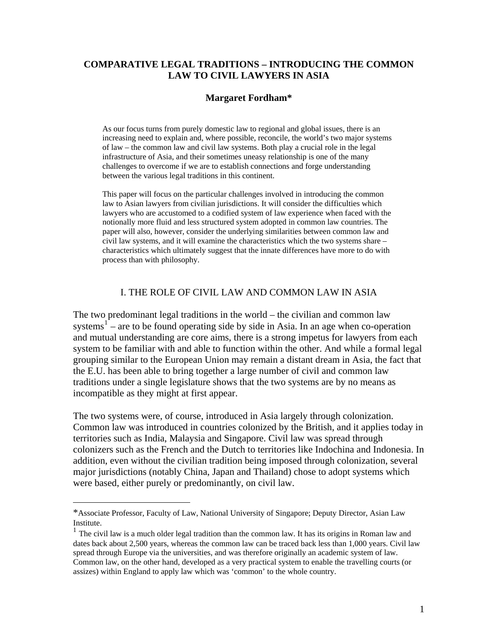### **COMPARATIVE LEGAL TRADITIONS – INTRODUCING THE COMMON LAW TO CIVIL LAWYERS IN ASIA**

#### **Margaret Fordham\***

As our focus turns from purely domestic law to regional and global issues, there is an increasing need to explain and, where possible, reconcile, the world's two major systems of law – the common law and civil law systems. Both play a crucial role in the legal infrastructure of Asia, and their sometimes uneasy relationship is one of the many challenges to overcome if we are to establish connections and forge understanding between the various legal traditions in this continent.

This paper will focus on the particular challenges involved in introducing the common law to Asian lawyers from civilian jurisdictions. It will consider the difficulties which lawyers who are accustomed to a codified system of law experience when faced with the notionally more fluid and less structured system adopted in common law countries. The paper will also, however, consider the underlying similarities between common law and civil law systems, and it will examine the characteristics which the two systems share – characteristics which ultimately suggest that the innate differences have more to do with process than with philosophy.

### I. THE ROLE OF CIVIL LAW AND COMMON LAW IN ASIA

The two predominant legal traditions in the world – the civilian and common law systems<sup>[1](#page-0-0)</sup> – are to be found operating side by side in Asia. In an age when co-operation and mutual understanding are core aims, there is a strong impetus for lawyers from each system to be familiar with and able to function within the other. And while a formal legal grouping similar to the European Union may remain a distant dream in Asia, the fact that the E.U. has been able to bring together a large number of civil and common law traditions under a single legislature shows that the two systems are by no means as incompatible as they might at first appear.

The two systems were, of course, introduced in Asia largely through colonization. Common law was introduced in countries colonized by the British, and it applies today in territories such as India, Malaysia and Singapore. Civil law was spread through colonizers such as the French and the Dutch to territories like Indochina and Indonesia. In addition, even without the civilian tradition being imposed through colonization, several major jurisdictions (notably China, Japan and Thailand) chose to adopt systems which were based, either purely or predominantly, on civil law.

 $\overline{a}$ 

<span id="page-0-0"></span><sup>\*</sup>Associate Professor, Faculty of Law, National University of Singapore; Deputy Director, Asian Law Institute.

 $1$  The civil law is a much older legal tradition than the common law. It has its origins in Roman law and dates back about 2,500 years, whereas the common law can be traced back less than 1,000 years. Civil law spread through Europe via the universities, and was therefore originally an academic system of law. Common law, on the other hand, developed as a very practical system to enable the travelling courts (or assizes) within England to apply law which was 'common' to the whole country.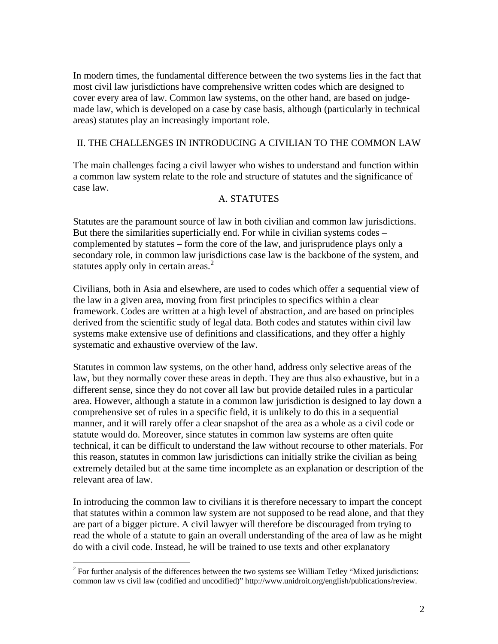In modern times, the fundamental difference between the two systems lies in the fact that most civil law jurisdictions have comprehensive written codes which are designed to cover every area of law. Common law systems, on the other hand, are based on judgemade law, which is developed on a case by case basis, although (particularly in technical areas) statutes play an increasingly important role.

# II. THE CHALLENGES IN INTRODUCING A CIVILIAN TO THE COMMON LAW

The main challenges facing a civil lawyer who wishes to understand and function within a common law system relate to the role and structure of statutes and the significance of case law.

# A. STATUTES

Statutes are the paramount source of law in both civilian and common law jurisdictions. But there the similarities superficially end. For while in civilian systems codes – complemented by statutes – form the core of the law, and jurisprudence plays only a secondary role, in common law jurisdictions case law is the backbone of the system, and statutes apply only in certain areas.<sup>[2](#page-1-0)</sup>

Civilians, both in Asia and elsewhere, are used to codes which offer a sequential view of the law in a given area, moving from first principles to specifics within a clear framework. Codes are written at a high level of abstraction, and are based on principles derived from the scientific study of legal data. Both codes and statutes within civil law systems make extensive use of definitions and classifications, and they offer a highly systematic and exhaustive overview of the law.

Statutes in common law systems, on the other hand, address only selective areas of the law, but they normally cover these areas in depth. They are thus also exhaustive, but in a different sense, since they do not cover all law but provide detailed rules in a particular area. However, although a statute in a common law jurisdiction is designed to lay down a comprehensive set of rules in a specific field, it is unlikely to do this in a sequential manner, and it will rarely offer a clear snapshot of the area as a whole as a civil code or statute would do. Moreover, since statutes in common law systems are often quite technical, it can be difficult to understand the law without recourse to other materials. For this reason, statutes in common law jurisdictions can initially strike the civilian as being extremely detailed but at the same time incomplete as an explanation or description of the relevant area of law.

In introducing the common law to civilians it is therefore necessary to impart the concept that statutes within a common law system are not supposed to be read alone, and that they are part of a bigger picture. A civil lawyer will therefore be discouraged from trying to read the whole of a statute to gain an overall understanding of the area of law as he might do with a civil code. Instead, he will be trained to use texts and other explanatory

 $\overline{a}$ 

<span id="page-1-0"></span> $2^{2}$  For further analysis of the differences between the two systems see William Tetley "Mixed jurisdictions: common law vs civil law (codified and uncodified)" http://www.unidroit.org/english/publications/review.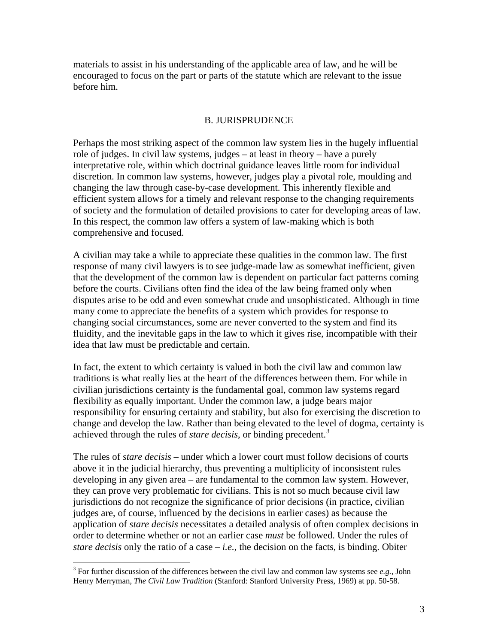materials to assist in his understanding of the applicable area of law, and he will be encouraged to focus on the part or parts of the statute which are relevant to the issue before him.

### B. JURISPRUDENCE

Perhaps the most striking aspect of the common law system lies in the hugely influential role of judges. In civil law systems, judges – at least in theory – have a purely interpretative role, within which doctrinal guidance leaves little room for individual discretion. In common law systems, however, judges play a pivotal role, moulding and changing the law through case-by-case development. This inherently flexible and efficient system allows for a timely and relevant response to the changing requirements of society and the formulation of detailed provisions to cater for developing areas of law. In this respect, the common law offers a system of law-making which is both comprehensive and focused.

A civilian may take a while to appreciate these qualities in the common law. The first response of many civil lawyers is to see judge-made law as somewhat inefficient, given that the development of the common law is dependent on particular fact patterns coming before the courts. Civilians often find the idea of the law being framed only when disputes arise to be odd and even somewhat crude and unsophisticated. Although in time many come to appreciate the benefits of a system which provides for response to changing social circumstances, some are never converted to the system and find its fluidity, and the inevitable gaps in the law to which it gives rise, incompatible with their idea that law must be predictable and certain.

In fact, the extent to which certainty is valued in both the civil law and common law traditions is what really lies at the heart of the differences between them. For while in civilian jurisdictions certainty is the fundamental goal, common law systems regard flexibility as equally important. Under the common law, a judge bears major responsibility for ensuring certainty and stability, but also for exercising the discretion to change and develop the law. Rather than being elevated to the level of dogma, certainty is achieved through the rules of *stare decisis*, or binding precedent.[3](#page-2-0)

The rules of *stare decisis* – under which a lower court must follow decisions of courts above it in the judicial hierarchy, thus preventing a multiplicity of inconsistent rules developing in any given area – are fundamental to the common law system. However, they can prove very problematic for civilians. This is not so much because civil law jurisdictions do not recognize the significance of prior decisions (in practice, civilian judges are, of course, influenced by the decisions in earlier cases) as because the application of *stare decisis* necessitates a detailed analysis of often complex decisions in order to determine whether or not an earlier case *must* be followed. Under the rules of *stare decisis* only the ratio of a case  $-i.e.,$  the decision on the facts, is binding. Obiter

 $\overline{a}$ 

<span id="page-2-0"></span><sup>&</sup>lt;sup>3</sup> For further discussion of the differences between the civil law and common law systems see  $e.g.,$  John Henry Merryman, *The Civil Law Tradition* (Stanford: Stanford University Press, 1969) at pp. 50-58.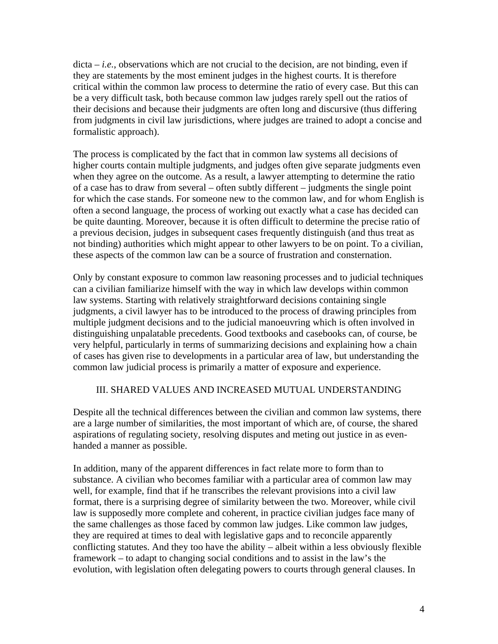$\text{dicta} - i.e.,$  observations which are not crucial to the decision, are not binding, even if they are statements by the most eminent judges in the highest courts. It is therefore critical within the common law process to determine the ratio of every case. But this can be a very difficult task, both because common law judges rarely spell out the ratios of their decisions and because their judgments are often long and discursive (thus differing from judgments in civil law jurisdictions, where judges are trained to adopt a concise and formalistic approach).

The process is complicated by the fact that in common law systems all decisions of higher courts contain multiple judgments, and judges often give separate judgments even when they agree on the outcome. As a result, a lawyer attempting to determine the ratio of a case has to draw from several – often subtly different – judgments the single point for which the case stands. For someone new to the common law, and for whom English is often a second language, the process of working out exactly what a case has decided can be quite daunting. Moreover, because it is often difficult to determine the precise ratio of a previous decision, judges in subsequent cases frequently distinguish (and thus treat as not binding) authorities which might appear to other lawyers to be on point. To a civilian, these aspects of the common law can be a source of frustration and consternation.

Only by constant exposure to common law reasoning processes and to judicial techniques can a civilian familiarize himself with the way in which law develops within common law systems. Starting with relatively straightforward decisions containing single judgments, a civil lawyer has to be introduced to the process of drawing principles from multiple judgment decisions and to the judicial manoeuvring which is often involved in distinguishing unpalatable precedents. Good textbooks and casebooks can, of course, be very helpful, particularly in terms of summarizing decisions and explaining how a chain of cases has given rise to developments in a particular area of law, but understanding the common law judicial process is primarily a matter of exposure and experience.

### III. SHARED VALUES AND INCREASED MUTUAL UNDERSTANDING

Despite all the technical differences between the civilian and common law systems, there are a large number of similarities, the most important of which are, of course, the shared aspirations of regulating society, resolving disputes and meting out justice in as evenhanded a manner as possible.

In addition, many of the apparent differences in fact relate more to form than to substance. A civilian who becomes familiar with a particular area of common law may well, for example, find that if he transcribes the relevant provisions into a civil law format, there is a surprising degree of similarity between the two. Moreover, while civil law is supposedly more complete and coherent, in practice civilian judges face many of the same challenges as those faced by common law judges. Like common law judges, they are required at times to deal with legislative gaps and to reconcile apparently conflicting statutes. And they too have the ability – albeit within a less obviously flexible framework – to adapt to changing social conditions and to assist in the law's the evolution, with legislation often delegating powers to courts through general clauses. In